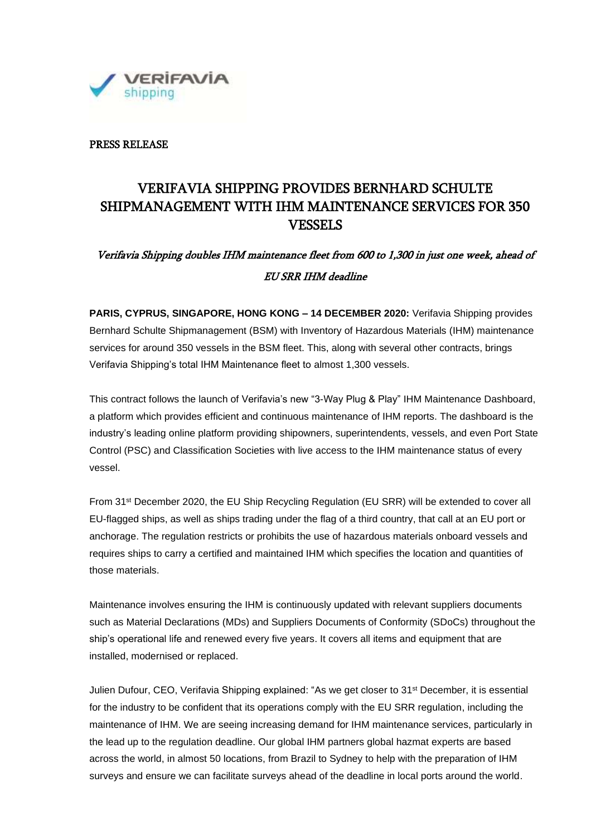

### PRESS RELEASE

## VERIFAVIA SHIPPING PROVIDES BERNHARD SCHULTE SHIPMANAGEMENT WITH IHM MAINTENANCE SERVICES FOR 350 **VESSELS**

# Verifavia Shipping doubles IHM maintenance fleet from 600 to 1,300 in just one week, ahead of EU SRR IHM deadline

**PARIS, CYPRUS, SINGAPORE, HONG KONG – 14 DECEMBER 2020:** Verifavia Shipping provides Bernhard Schulte Shipmanagement (BSM) with Inventory of Hazardous Materials (IHM) maintenance services for around 350 vessels in the BSM fleet. This, along with several other contracts, brings Verifavia Shipping's total IHM Maintenance fleet to almost 1,300 vessels.

This contract follows the launch of Verifavia's new "3-Way Plug & Play" IHM Maintenance Dashboard, a platform which provides efficient and continuous maintenance of IHM reports. The dashboard is the industry's leading online platform providing shipowners, superintendents, vessels, and even Port State Control (PSC) and Classification Societies with live access to the IHM maintenance status of every vessel.

From 31st December 2020, the EU Ship Recycling Regulation (EU SRR) will be extended to cover all EU-flagged ships, as well as ships trading under the flag of a third country, that call at an EU port or anchorage. The regulation restricts or prohibits the use of hazardous materials onboard vessels and requires ships to carry a certified and maintained IHM which specifies the location and quantities of those materials.

Maintenance involves ensuring the IHM is continuously updated with relevant suppliers documents such as Material Declarations (MDs) and Suppliers Documents of Conformity (SDoCs) throughout the ship's operational life and renewed every five years. It covers all items and equipment that are installed, modernised or replaced.

Julien Dufour, CEO, Verifavia Shipping explained: "As we get closer to 31st December, it is essential for the industry to be confident that its operations comply with the EU SRR regulation, including the maintenance of IHM. We are seeing increasing demand for IHM maintenance services, particularly in the lead up to the regulation deadline. Our global IHM partners global hazmat experts are based across the world, in almost 50 locations, from Brazil to Sydney to help with the preparation of IHM surveys and ensure we can facilitate surveys ahead of the deadline in local ports around the world.